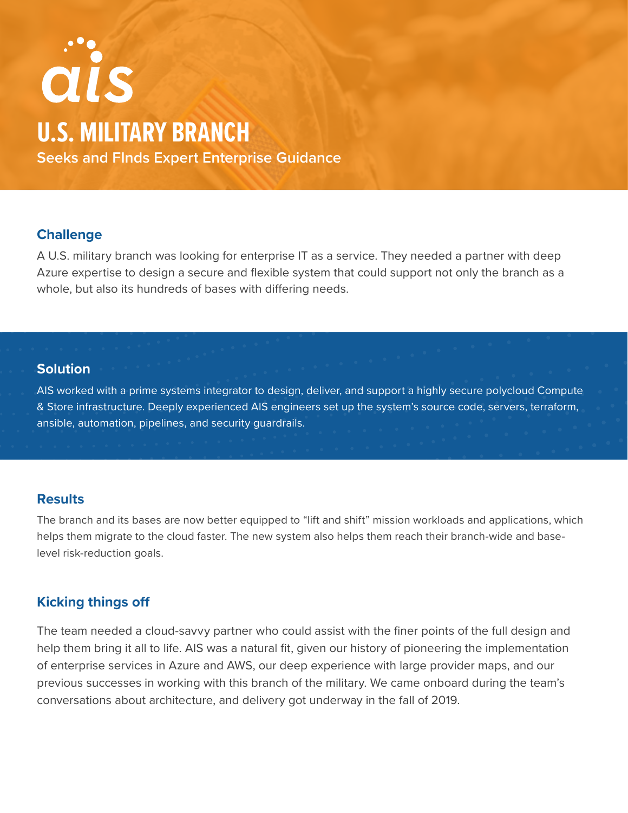# ais **U.S. MILITARY BRANCH Seeks and FInds Expert Enterprise Guidance**

## **Challenge**

A U.S. military branch was looking for enterprise IT as a service. They needed a partner with deep Azure expertise to design a secure and flexible system that could support not only the branch as a whole, but also its hundreds of bases with differing needs.

#### **Solution**

AIS worked with a prime systems integrator to design, deliver, and support a highly secure polycloud Compute & Store infrastructure. Deeply experienced AIS engineers set up the system's source code, servers, terraform, ansible, automation, pipelines, and security guardrails.

### **Results**

The branch and its bases are now better equipped to "lift and shift" mission workloads and applications, which helps them migrate to the cloud faster. The new system also helps them reach their branch-wide and baselevel risk-reduction goals.

# **Kicking things off**

The team needed a cloud-savvy partner who could assist with the finer points of the full design and help them bring it all to life. AIS was a natural fit, given our history of pioneering the implementation of enterprise services in Azure and AWS, our deep experience with large provider maps, and our previous successes in working with this branch of the military. We came onboard during the team's conversations about architecture, and delivery got underway in the fall of 2019.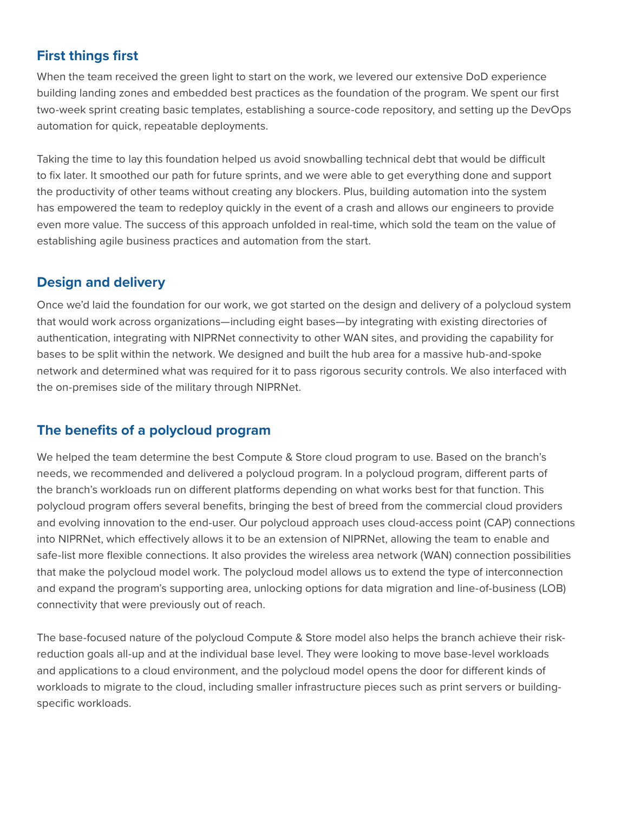# **First things first**

When the team received the green light to start on the work, we levered our extensive DoD experience building landing zones and embedded best practices as the foundation of the program. We spent our first two-week sprint creating basic templates, establishing a source-code repository, and setting up the DevOps automation for quick, repeatable deployments.

Taking the time to lay this foundation helped us avoid snowballing technical debt that would be difficult to fix later. It smoothed our path for future sprints, and we were able to get everything done and support the productivity of other teams without creating any blockers. Plus, building automation into the system has empowered the team to redeploy quickly in the event of a crash and allows our engineers to provide even more value. The success of this approach unfolded in real-time, which sold the team on the value of establishing agile business practices and automation from the start.

# **Design and delivery**

Once we'd laid the foundation for our work, we got started on the design and delivery of a polycloud system that would work across organizations—including eight bases—by integrating with existing directories of authentication, integrating with NIPRNet connectivity to other WAN sites, and providing the capability for bases to be split within the network. We designed and built the hub area for a massive hub-and-spoke network and determined what was required for it to pass rigorous security controls. We also interfaced with the on-premises side of the military through NIPRNet.

# **The benefits of a polycloud program**

We helped the team determine the best Compute & Store cloud program to use. Based on the branch's needs, we recommended and delivered a polycloud program. In a polycloud program, different parts of the branch's workloads run on different platforms depending on what works best for that function. This polycloud program offers several benefits, bringing the best of breed from the commercial cloud providers and evolving innovation to the end-user. Our polycloud approach uses cloud-access point (CAP) connections into NIPRNet, which effectively allows it to be an extension of NIPRNet, allowing the team to enable and safe-list more flexible connections. It also provides the wireless area network (WAN) connection possibilities that make the polycloud model work. The polycloud model allows us to extend the type of interconnection and expand the program's supporting area, unlocking options for data migration and line-of-business (LOB) connectivity that were previously out of reach.

The base-focused nature of the polycloud Compute & Store model also helps the branch achieve their riskreduction goals all-up and at the individual base level. They were looking to move base-level workloads and applications to a cloud environment, and the polycloud model opens the door for different kinds of workloads to migrate to the cloud, including smaller infrastructure pieces such as print servers or buildingspecific workloads.